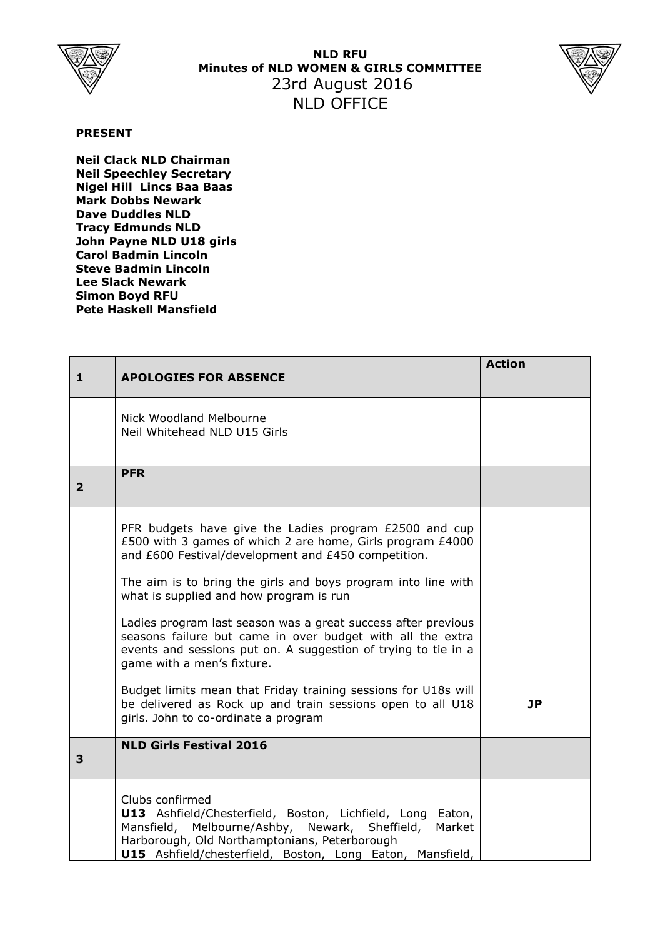

**NLD RFU Minutes of NLD WOMEN & GIRLS COMMITTEE** 23rd August 2016 NLD OFFICE



## **PRESENT**

**Neil Clack NLD Chairman Neil Speechley Secretary Nigel Hill Lincs Baa Baas Mark Dobbs Newark Dave Duddles NLD Tracy Edmunds NLD John Payne NLD U18 girls Carol Badmin Lincoln Steve Badmin Lincoln Lee Slack Newark Simon Boyd RFU Pete Haskell Mansfield**

| $\mathbf{1}$ | <b>APOLOGIES FOR ABSENCE</b>                                                                                                                                                                                                                                                                                                                                                                                                                                                                                                                                                                                                                                                                   | <b>Action</b> |
|--------------|------------------------------------------------------------------------------------------------------------------------------------------------------------------------------------------------------------------------------------------------------------------------------------------------------------------------------------------------------------------------------------------------------------------------------------------------------------------------------------------------------------------------------------------------------------------------------------------------------------------------------------------------------------------------------------------------|---------------|
|              | Nick Woodland Melbourne<br>Neil Whitehead NLD U15 Girls                                                                                                                                                                                                                                                                                                                                                                                                                                                                                                                                                                                                                                        |               |
| 2            | <b>PFR</b>                                                                                                                                                                                                                                                                                                                                                                                                                                                                                                                                                                                                                                                                                     |               |
|              | PFR budgets have give the Ladies program £2500 and cup<br>£500 with 3 games of which 2 are home, Girls program £4000<br>and £600 Festival/development and £450 competition.<br>The aim is to bring the girls and boys program into line with<br>what is supplied and how program is run<br>Ladies program last season was a great success after previous<br>seasons failure but came in over budget with all the extra<br>events and sessions put on. A suggestion of trying to tie in a<br>game with a men's fixture.<br>Budget limits mean that Friday training sessions for U18s will<br>be delivered as Rock up and train sessions open to all U18<br>girls. John to co-ordinate a program | <b>JP</b>     |
| 3            | <b>NLD Girls Festival 2016</b>                                                                                                                                                                                                                                                                                                                                                                                                                                                                                                                                                                                                                                                                 |               |
|              | Clubs confirmed<br>U13 Ashfield/Chesterfield, Boston, Lichfield, Long Eaton,<br>Mansfield, Melbourne/Ashby, Newark, Sheffield,<br>Market<br>Harborough, Old Northamptonians, Peterborough<br>U15 Ashfield/chesterfield, Boston, Long Eaton, Mansfield,                                                                                                                                                                                                                                                                                                                                                                                                                                         |               |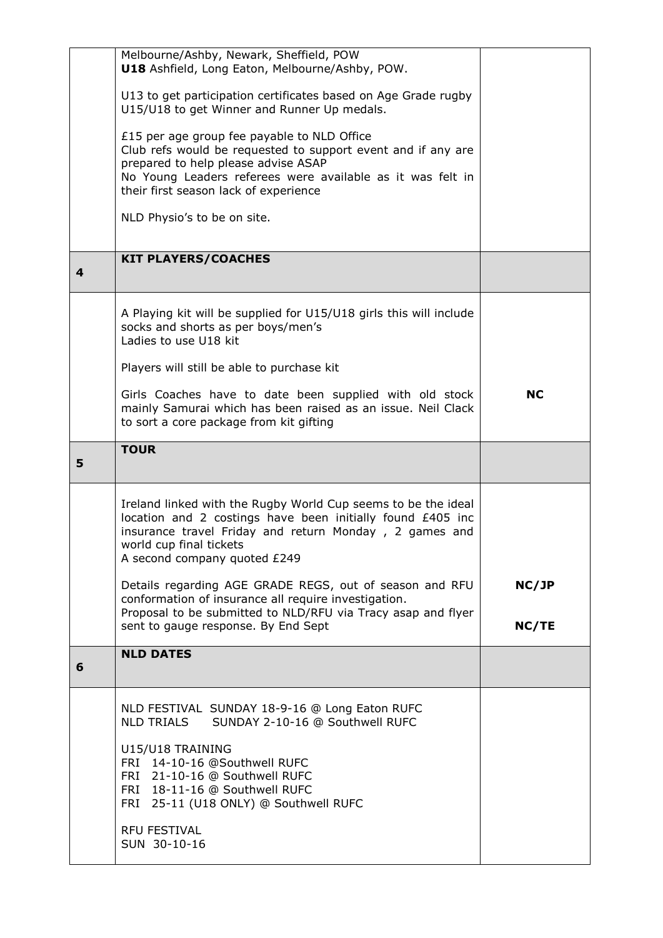|   | Melbourne/Ashby, Newark, Sheffield, POW<br>U18 Ashfield, Long Eaton, Melbourne/Ashby, POW.                                                                                                                                                       |           |
|---|--------------------------------------------------------------------------------------------------------------------------------------------------------------------------------------------------------------------------------------------------|-----------|
|   | U13 to get participation certificates based on Age Grade rugby<br>U15/U18 to get Winner and Runner Up medals.                                                                                                                                    |           |
|   | £15 per age group fee payable to NLD Office<br>Club refs would be requested to support event and if any are<br>prepared to help please advise ASAP<br>No Young Leaders referees were available as it was felt in                                 |           |
|   | their first season lack of experience<br>NLD Physio's to be on site.                                                                                                                                                                             |           |
|   |                                                                                                                                                                                                                                                  |           |
| 4 | <b>KIT PLAYERS/COACHES</b>                                                                                                                                                                                                                       |           |
|   | A Playing kit will be supplied for U15/U18 girls this will include<br>socks and shorts as per boys/men's<br>Ladies to use U18 kit                                                                                                                |           |
|   | Players will still be able to purchase kit                                                                                                                                                                                                       |           |
|   | Girls Coaches have to date been supplied with old stock<br>mainly Samurai which has been raised as an issue. Neil Clack<br>to sort a core package from kit gifting                                                                               | <b>NC</b> |
|   | <b>TOUR</b>                                                                                                                                                                                                                                      |           |
| 5 |                                                                                                                                                                                                                                                  |           |
|   |                                                                                                                                                                                                                                                  |           |
|   | Ireland linked with the Rugby World Cup seems to be the ideal<br>location and 2 costings have been initially found £405 inc<br>insurance travel Friday and return Monday, 2 games and<br>world cup final tickets<br>A second company quoted £249 |           |
|   | Details regarding AGE GRADE REGS, out of season and RFU<br>conformation of insurance all require investigation.                                                                                                                                  | NC/JP     |
|   | Proposal to be submitted to NLD/RFU via Tracy asap and flyer<br>sent to gauge response. By End Sept                                                                                                                                              | NC/TE     |
| 6 | <b>NLD DATES</b>                                                                                                                                                                                                                                 |           |
|   | NLD FESTIVAL SUNDAY 18-9-16 @ Long Eaton RUFC<br>NLD TRIALS SUNDAY 2-10-16 @ Southwell RUFC                                                                                                                                                      |           |
|   | U15/U18 TRAINING<br>FRI 14-10-16 @Southwell RUFC<br>FRI 21-10-16 @ Southwell RUFC<br>FRI 18-11-16 @ Southwell RUFC<br>FRI 25-11 (U18 ONLY) @ Southwell RUFC                                                                                      |           |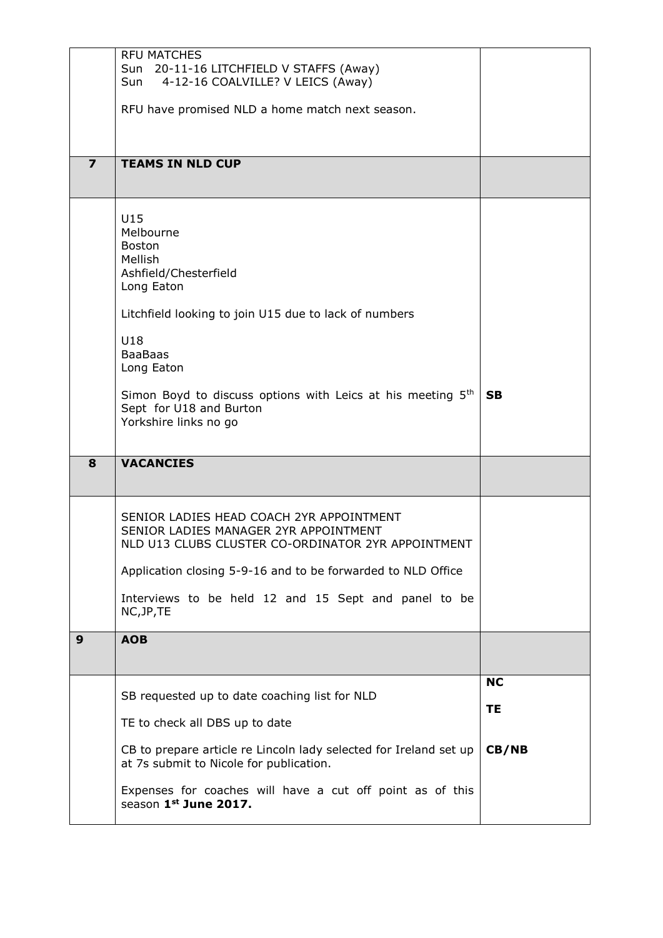|                         | <b>RFU MATCHES</b><br>Sun 20-11-16 LITCHFIELD V STAFFS (Away)<br>4-12-16 COALVILLE? V LEICS (Away)<br>Sun    |           |
|-------------------------|--------------------------------------------------------------------------------------------------------------|-----------|
|                         | RFU have promised NLD a home match next season.                                                              |           |
|                         |                                                                                                              |           |
| $\overline{\mathbf{z}}$ | <b>TEAMS IN NLD CUP</b>                                                                                      |           |
|                         |                                                                                                              |           |
|                         | U15<br>Melbourne                                                                                             |           |
|                         | <b>Boston</b><br>Mellish                                                                                     |           |
|                         | Ashfield/Chesterfield<br>Long Eaton                                                                          |           |
|                         | Litchfield looking to join U15 due to lack of numbers                                                        |           |
|                         | U18                                                                                                          |           |
|                         | <b>BaaBaas</b><br>Long Eaton                                                                                 |           |
|                         | Simon Boyd to discuss options with Leics at his meeting 5th<br>Sept for U18 and Burton                       | <b>SB</b> |
|                         | Yorkshire links no go                                                                                        |           |
| 8                       | <b>VACANCIES</b>                                                                                             |           |
|                         |                                                                                                              |           |
|                         | SENIOR LADIES HEAD COACH 2YR APPOINTMENT                                                                     |           |
|                         | SENIOR LADIES MANAGER 2YR APPOINTMENT<br>NLD U13 CLUBS CLUSTER CO-ORDINATOR 2YR APPOINTMENT                  |           |
|                         | Application closing 5-9-16 and to be forwarded to NLD Office                                                 |           |
|                         | Interviews to be held 12 and 15 Sept and panel to be<br>NC, JP, TE                                           |           |
| 9                       | <b>AOB</b>                                                                                                   |           |
|                         | SB requested up to date coaching list for NLD                                                                | <b>NC</b> |
|                         | TE to check all DBS up to date                                                                               | <b>TE</b> |
|                         | CB to prepare article re Lincoln lady selected for Ireland set up<br>at 7s submit to Nicole for publication. | CB/NB     |
|                         | Expenses for coaches will have a cut off point as of this<br>season 1st June 2017.                           |           |